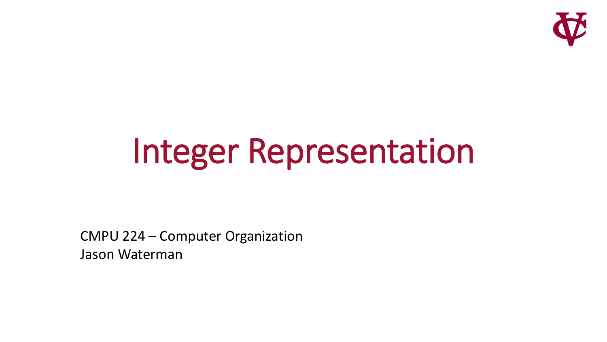

# Integer Representation

CMPU 224 – Computer Organization Jason Waterman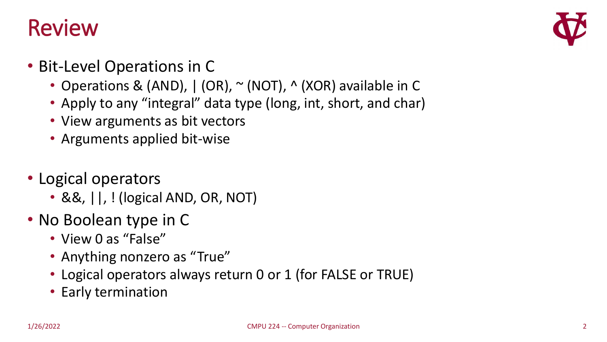#### Review



- Bit-Level Operations in C
	- Operations & (AND), | (OR), ~ (NOT), ^ (XOR) available in C
	- Apply to any "integral" data type (long, int, short, and char)
	- View arguments as bit vectors
	- Arguments applied bit-wise
- Logical operators
	- &&, ||, ! (logical AND, OR, NOT)
- No Boolean type in C
	- View 0 as "False"
	- Anything nonzero as "True"
	- Logical operators always return 0 or 1 (for FALSE or TRUE)
	- Early termination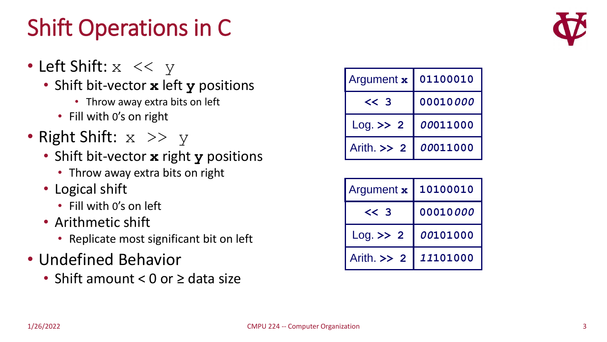# Shift Operations in C

- Left Shift:  $x \leq y$ 
	- Shift bit-vector **x** left **y** positions
		- Throw away extra bits on left
		- Fill with 0's on right
- Right Shift:  $x \gg y$ 
	- Shift bit-vector **x** right **y** positions
		- Throw away extra bits on right
	- Logical shift
		- Fill with 0's on left
	- Arithmetic shift
		- Replicate most significant bit on left
- Undefined Behavior
	- Shift amount < 0 or ≥ data size

| Argument x    | 01100010 |  |  |
|---------------|----------|--|--|
| $<<$ 3        | 00010000 |  |  |
| $Log.$ >> 2   | 00011000 |  |  |
| Arith $\gg$ 2 | 00011000 |  |  |

| Argument x    | 10100010 |  |  |
|---------------|----------|--|--|
| $<<$ 3        | 00010000 |  |  |
| $Log.$ >> 2   | 00101000 |  |  |
| Arith $\gg$ 2 | 11101000 |  |  |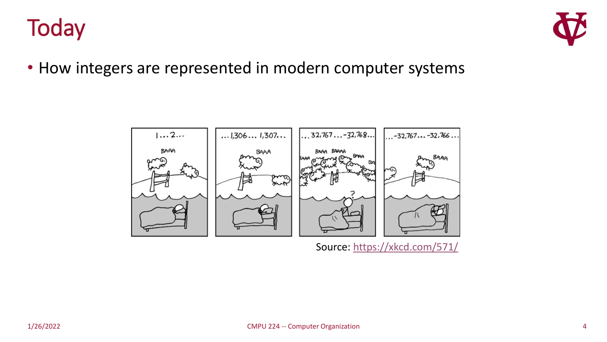



• How integers are represented in modern computer systems



Source: <https://xkcd.com/571/>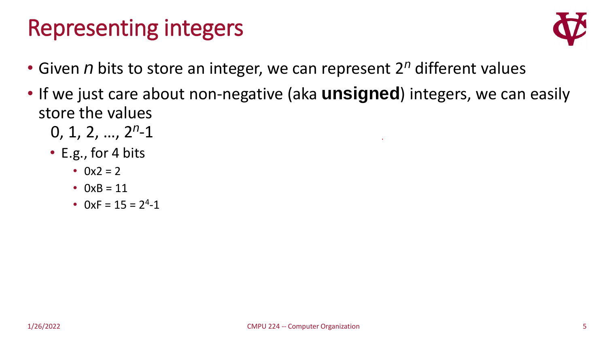#### Representing integers



- Given *n* bits to store an integer, we can represent 2*<sup>n</sup>* different values
- If we just care about non-negative (aka **unsigned**) integers, we can easily store the values
	- 0, 1, 2, …, 2*<sup>n</sup>* -1
	- E.g., for 4 bits
		- $0x^2 = 2$
		- $0xB = 11$
		- $0xF = 15 = 2<sup>4</sup>-1$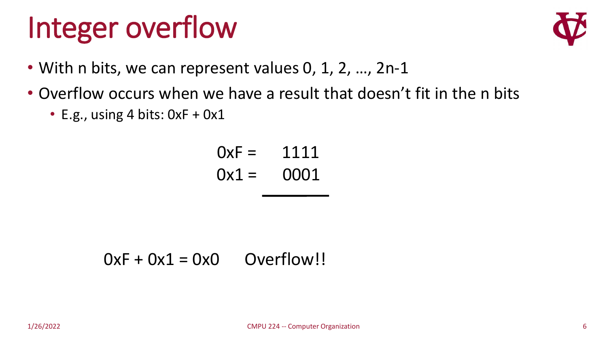# Integer overflow



- With n bits, we can represent values 0, 1, 2, ..., 2n-1
- Overflow occurs when we have a result that doesn't fit in the n bits
	- E.g., using 4 bits:  $0xF + 0x1$

$$
0xF = 1111
$$

$$
0x1 = 0001
$$

$$
0xF + 0x1 = 0x0
$$
 Overflow!!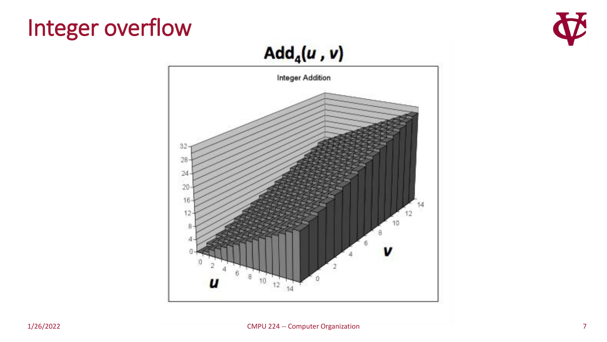#### Integer overflow



#### $Add_4(u, v)$

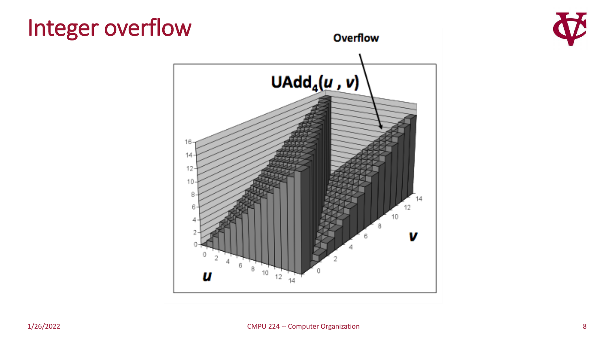#### Integer overflow



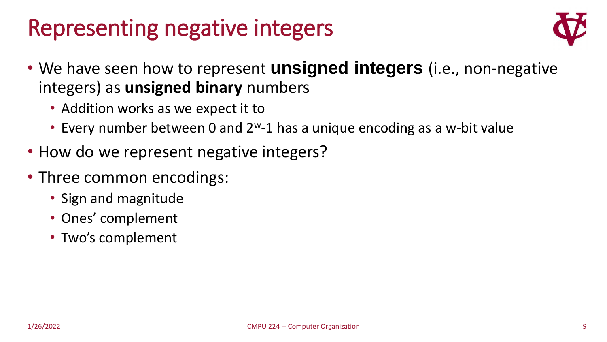#### Representing negative integers



- We have seen how to represent **unsigned integers** (i.e., non-negative integers) as **unsigned binary** numbers
	- Addition works as we expect it to
	- Every number between 0 and  $2^w-1$  has a unique encoding as a w-bit value
- How do we represent negative integers?
- Three common encodings:
	- Sign and magnitude
	- Ones' complement
	- Two's complement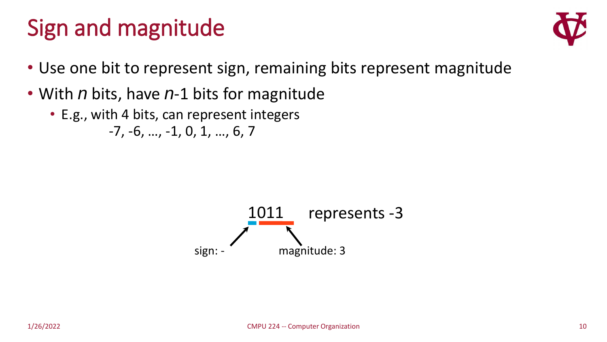#### Sign and magnitude



- Use one bit to represent sign, remaining bits represent magnitude
- With *n* bits, have *n*-1 bits for magnitude
	- E.g., with 4 bits, can represent integers -7, -6, …, -1, 0, 1, …, 6, 7

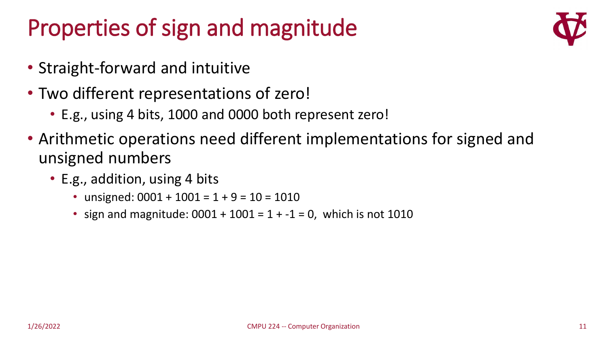### Properties of sign and magnitude

- Straight-forward and intuitive
- Two different representations of zero!
	- E.g., using 4 bits, 1000 and 0000 both represent zero!
- Arithmetic operations need different implementations for signed and unsigned numbers
	- E.g., addition, using 4 bits
		- unsigned:  $0001 + 1001 = 1 + 9 = 10 = 1010$
		- sign and magnitude:  $0001 + 1001 = 1 + -1 = 0$ , which is not 1010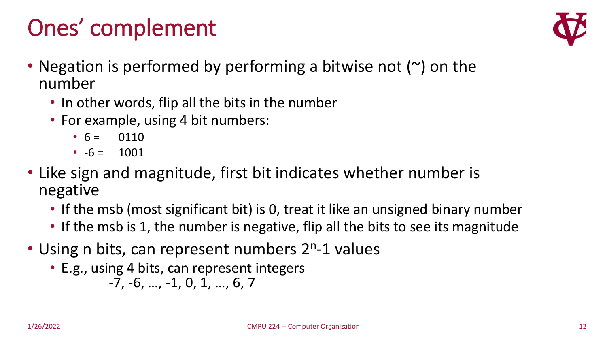# Ones' complement



- Negation is performed by performing a bitwise not  $(\sim)$  on the number
	- In other words, flip all the bits in the number
	- For example, using 4 bit numbers:
		- $6 = 0110$
		- $-6 = 1001$
- Like sign and magnitude, first bit indicates whether number is negative
	- If the msb (most significant bit) is 0, treat it like an unsigned binary number
	- If the msb is 1, the number is negative, flip all the bits to see its magnitude
- Using n bits, can represent numbers 2<sup>n</sup>-1 values
	- E.g., using 4 bits, can represent integers
		- -7, -6, …, -1, 0, 1, …, 6, 7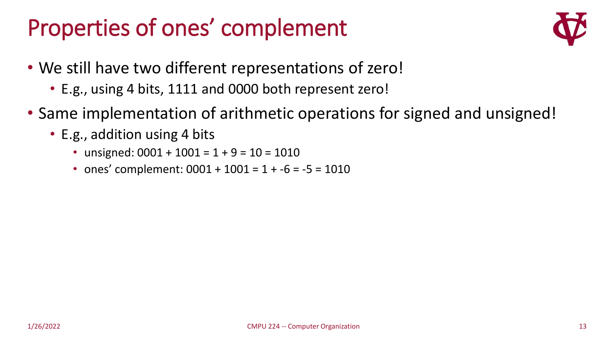#### Properties of ones' complement



- We still have two different representations of zero!
	- E.g., using 4 bits, 1111 and 0000 both represent zero!
- Same implementation of arithmetic operations for signed and unsigned!
	- E.g., addition using 4 bits
		- unsigned:  $0001 + 1001 = 1 + 9 = 10 = 1010$
		- ones' complement:  $0001 + 1001 = 1 + -6 = -5 = 1010$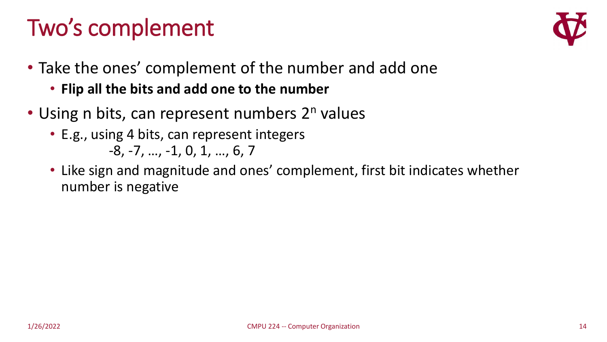# Two's complement



- Take the ones' complement of the number and add one
	- **Flip all the bits and add one to the number**
- Using n bits, can represent numbers  $2<sup>n</sup>$  values
	- E.g., using 4 bits, can represent integers -8, -7, …, -1, 0, 1, …, 6, 7
	- Like sign and magnitude and ones' complement, first bit indicates whether number is negative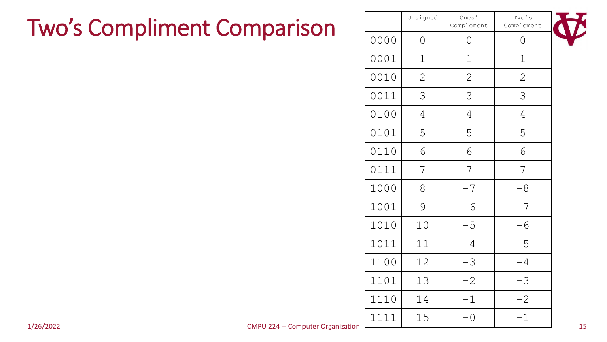#### Two's Compliment Comparison

|           | Two's Compliment Comparison              |      | Unsigned       | Ones'<br>Complement | Two's<br>Complement |    |
|-----------|------------------------------------------|------|----------------|---------------------|---------------------|----|
|           |                                          | 0000 | $\Omega$       | $\overline{O}$      | $\overline{O}$      |    |
|           |                                          | 0001 | $\mathbf 1$    | $\mathbf 1$         | $\mathbf 1$         |    |
|           |                                          | 0010 | 2              | 2                   | $\overline{2}$      |    |
|           |                                          | 0011 | 3              | 3                   | 3                   |    |
|           |                                          | 0100 | $\overline{4}$ | 4                   | 4                   |    |
|           |                                          | 0101 | 5              | 5                   | 5                   |    |
|           |                                          | 0110 | 6              | 6                   | 6                   |    |
|           |                                          | 0111 | 7              | 7                   | 7                   |    |
|           |                                          | 1000 | 8              | $-7$                | $-8$                |    |
|           |                                          | 1001 | 9              | $-6$                | $-7$                |    |
|           |                                          | 1010 | 10             | $-5$                | $-6$                |    |
|           |                                          | 1011 | 11             | $-4$                | $-5$                |    |
|           |                                          | 1100 | 12             | $-3$                | $-4$                |    |
|           |                                          | 1101 | 13             | $-2$                | $-3$                |    |
|           |                                          | 1110 | 14             | $-1$                | $-2$                |    |
|           |                                          | 1111 | 15             | $-0$                | $-1$                |    |
| 1/26/2022 | <b>CMPU 224 -- Computer Organization</b> |      |                |                     |                     | 15 |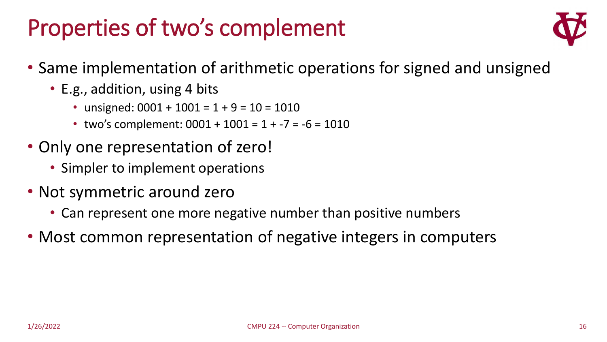#### Properties of two's complement



- Same implementation of arithmetic operations for signed and unsigned
	- E.g., addition, using 4 bits
		- unsigned:  $0001 + 1001 = 1 + 9 = 10 = 1010$
		- two's complement:  $0001 + 1001 = 1 + -7 = -6 = 1010$
- Only one representation of zero!
	- Simpler to implement operations
- Not symmetric around zero
	- Can represent one more negative number than positive numbers
- Most common representation of negative integers in computers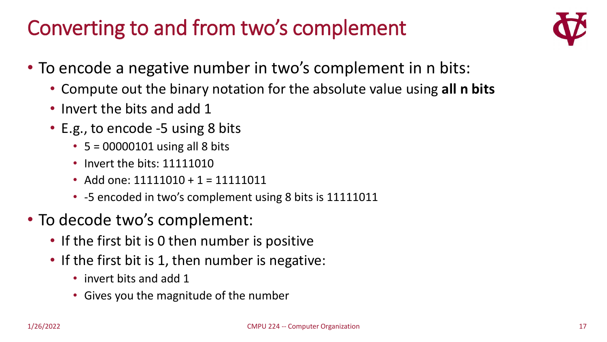#### Converting to and from two's complement



- To encode a negative number in two's complement in n bits:
	- Compute out the binary notation for the absolute value using **all n bits**
	- Invert the bits and add 1
	- E.g., to encode -5 using 8 bits
		- $5 = 00000101$  using all 8 bits
		- Invert the bits: 11111010
		- Add one: 11111010 + 1 = 11111011
		- -5 encoded in two's complement using 8 bits is 11111011
- To decode two's complement:
	- If the first bit is 0 then number is positive
	- If the first bit is 1, then number is negative:
		- invert bits and add 1
		- Gives you the magnitude of the number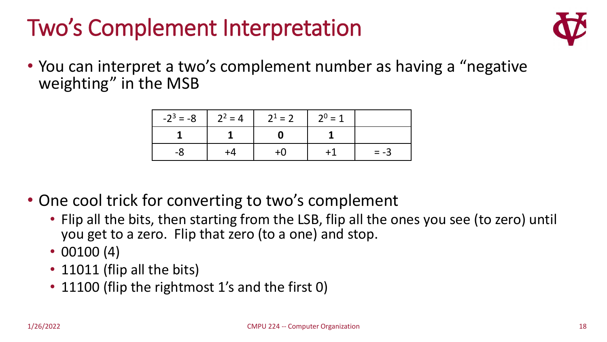# Two's Complement Interpretation



• You can interpret a two's complement number as having a "negative" weighting" in the MSB

|    | $-2^3 = -8$   $2^2 = 4$   $2^1 = 2$   $2^0 = 1$ |      |        |
|----|-------------------------------------------------|------|--------|
|    | $\mathbf{0}$                                    |      |        |
| -8 | $+0$                                            | $+1$ | $= -3$ |

- One cool trick for converting to two's complement
	- Flip all the bits, then starting from the LSB, flip all the ones you see (to zero) until you get to a zero. Flip that zero (to a one) and stop.
	- 00100 (4)
	- 11011 (flip all the bits)
	- 11100 (flip the rightmost 1's and the first 0)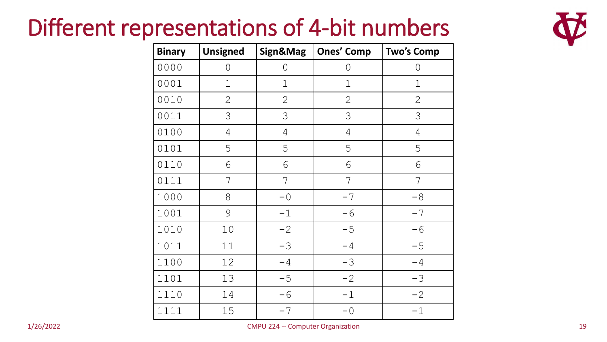### Different representations of 4-bit numbers



| <b>Binary</b> | <b>Unsigned</b> | Sign&Mag       | <b>Ones' Comp</b> | <b>Two's Comp</b> |
|---------------|-----------------|----------------|-------------------|-------------------|
| 0000          | 0               | $\overline{O}$ | 0                 | 0                 |
| 0001          | $\mathbf 1$     | $\mathbf 1$    | $\mathbf 1$       | $\mathbf 1$       |
| 0010          | $\mathbf{2}$    | $\mathbf{2}$   | $\mathbf{2}$      | $\mathbf{2}$      |
| 0011          | 3               | 3              | 3                 | 3                 |
| 0100          | $\overline{4}$  | $\overline{4}$ | $\overline{4}$    | $\overline{4}$    |
| 0101          | 5               | 5              | 5                 | 5                 |
| 0110          | 6               | 6              | 6                 | 6                 |
| 0111          | 7               | 7              | 7                 | 7                 |
| 1000          | 8               | $-0$           | $-7$              | $-8$              |
| 1001          | 9               | $-1$           | $-6$              | $-7$              |
| 1010          | 10              | $-2$           | $-5$              | $-6$              |
| 1011          | 11              | $-3$           | $-4$              | $-5$              |
| 1100          | 12              | $-4$           | $-3$              | $-4$              |
| 1101          | 13              | $-5$           | $-2$              | $-3$              |
| 1110          | 14              | $-6$           | $-1$              | $-2$              |
| 1111          | 15              | $-7$           | $-0$              | $-1$              |